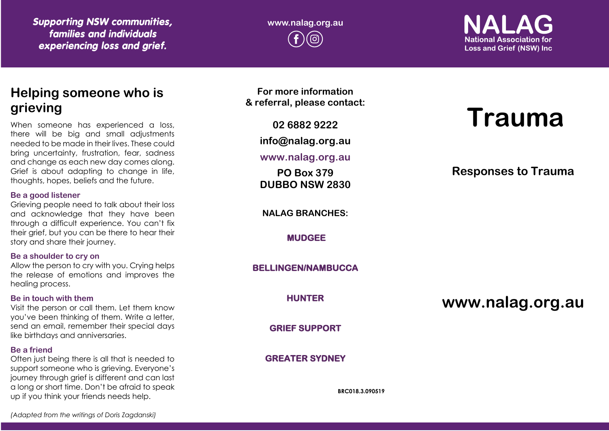*Supporting NSW communities, families and individuals experiencing loss and grief.*

**www.nalag.org.au**

**National Association for Loss and Grief (NSW) Inc** 

# **Helping someone who is grieving**

When someone has experienced a loss, there will be big and small adjustments needed to be made in their lives. These could bring uncertainty, frustration, fear, sadness and change as each new day comes along. Grief is about adapting to change in life, thoughts, hopes, beliefs and the future.

#### **Be a good listener**

Grieving people need to talk about their loss and acknowledge that they have been through a difficult experience. You can't fix their grief, but you can be there to hear their story and share their journey.

#### **Be a shoulder to cry on**

Allow the person to cry with you. Crying helps the release of emotions and improves the healing process.

#### **Be in touch with them**

Visit the person or call them. Let them know you've been thinking of them. Write a letter, send an email, remember their special days like birthdays and anniversaries.

#### **Be a friend**

Often just being there is all that is needed to support someone who is grieving. Everyone's journey through grief is different and can last a long or short time. Don't be afraid to speak up if you think your friends needs help.

**For more information & referral, please contact:**

**02 6882 9222**

**info@nalag.org.au**

**www.nalag.org.au**

**PO Box 379 DUBBO NSW 2830**

**NALAG BRANCHES:**

**MUDGEE** 

**BELLINGEN/NAMBUCCA** 

**HUNTER** 

**GRIEF SUPPORT** 

**GREATER SYDNEY** 

**BRC018.3.090519**

# **Trauma**

# **Responses to Trauma**

**www.nalag.org.au**

*(Adapted from the writings of Doris Zagdanski)*